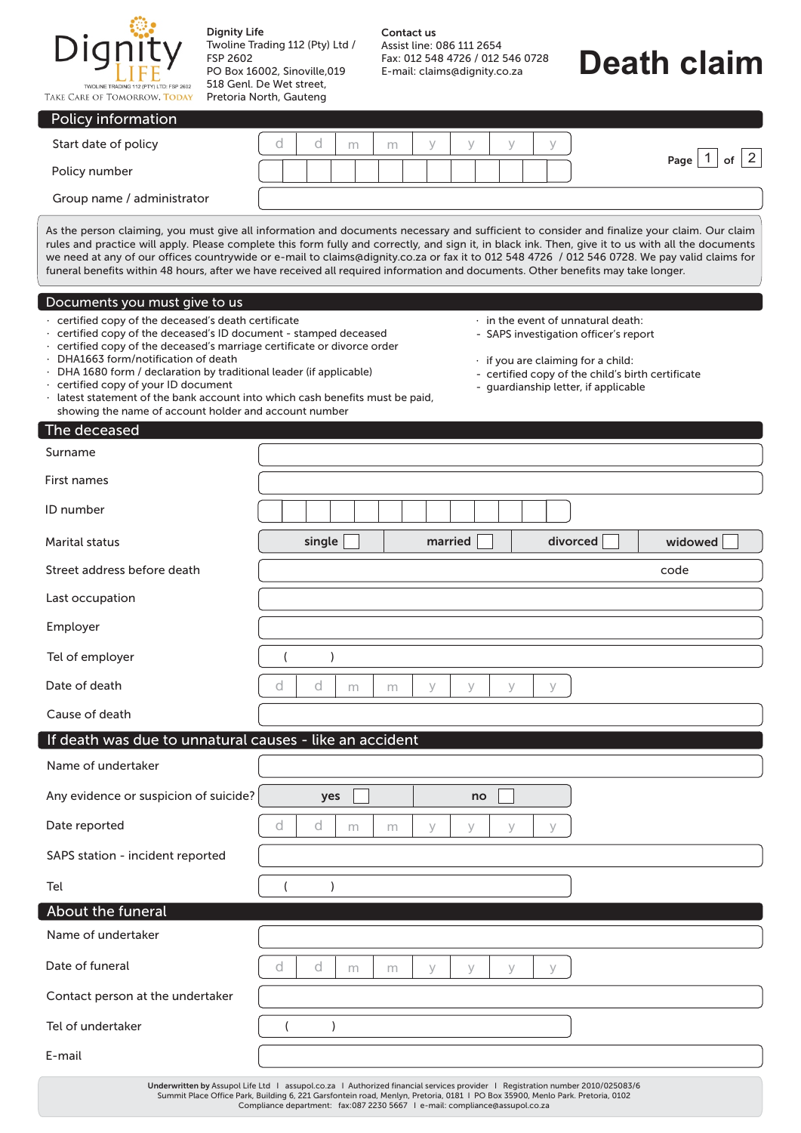

E-mail

Dignity Life Twoline Trading 112 (Pty) Ltd / FSP 2602 PO Box 16002, Sinoville,019 518 Genl. De Wet street,

## **Death claim**

| TAKE CARE OF TOMORROW, TODAY                                                                                                                                                                                                                                                                                                                                                                                                                                                                   | Pretoria North, Gauteng                                                                                                                                                                                                                                                                                                                                                                                                                                                                                                                                                                 |
|------------------------------------------------------------------------------------------------------------------------------------------------------------------------------------------------------------------------------------------------------------------------------------------------------------------------------------------------------------------------------------------------------------------------------------------------------------------------------------------------|-----------------------------------------------------------------------------------------------------------------------------------------------------------------------------------------------------------------------------------------------------------------------------------------------------------------------------------------------------------------------------------------------------------------------------------------------------------------------------------------------------------------------------------------------------------------------------------------|
| Policy information                                                                                                                                                                                                                                                                                                                                                                                                                                                                             |                                                                                                                                                                                                                                                                                                                                                                                                                                                                                                                                                                                         |
| Start date of policy                                                                                                                                                                                                                                                                                                                                                                                                                                                                           | d<br>d<br>У<br>У<br>y<br>У<br>m<br>m<br> 2                                                                                                                                                                                                                                                                                                                                                                                                                                                                                                                                              |
| Policy number                                                                                                                                                                                                                                                                                                                                                                                                                                                                                  | Page $ 1$<br>of                                                                                                                                                                                                                                                                                                                                                                                                                                                                                                                                                                         |
| Group name / administrator                                                                                                                                                                                                                                                                                                                                                                                                                                                                     |                                                                                                                                                                                                                                                                                                                                                                                                                                                                                                                                                                                         |
|                                                                                                                                                                                                                                                                                                                                                                                                                                                                                                | As the person claiming, you must give all information and documents necessary and sufficient to consider and finalize your claim. Our claim<br>rules and practice will apply. Please complete this form fully and correctly, and sign it, in black ink. Then, give it to us with all the documents<br>we need at any of our offices countrywide or e-mail to claims@dignity.co.za or fax it to 012 548 4726 / 012 546 0728. We pay valid claims for<br>funeral benefits within 48 hours, after we have received all required information and documents. Other benefits may take longer. |
| Documents you must give to us                                                                                                                                                                                                                                                                                                                                                                                                                                                                  |                                                                                                                                                                                                                                                                                                                                                                                                                                                                                                                                                                                         |
| · certified copy of the deceased's death certificate<br>· certified copy of the deceased's ID document - stamped deceased<br>certified copy of the deceased's marriage certificate or divorce order<br>DHA1663 form/notification of death<br>DHA 1680 form / declaration by traditional leader (if applicable)<br>· certified copy of your ID document<br>latest statement of the bank account into which cash benefits must be paid,<br>showing the name of account holder and account number | $\cdot$ in the event of unnatural death:<br>- SAPS investigation officer's report<br>· if you are claiming for a child:<br>- certified copy of the child's birth certificate<br>- guardianship letter, if applicable                                                                                                                                                                                                                                                                                                                                                                    |
| The deceased                                                                                                                                                                                                                                                                                                                                                                                                                                                                                   |                                                                                                                                                                                                                                                                                                                                                                                                                                                                                                                                                                                         |
| Surname                                                                                                                                                                                                                                                                                                                                                                                                                                                                                        |                                                                                                                                                                                                                                                                                                                                                                                                                                                                                                                                                                                         |
| First names                                                                                                                                                                                                                                                                                                                                                                                                                                                                                    |                                                                                                                                                                                                                                                                                                                                                                                                                                                                                                                                                                                         |
| ID number                                                                                                                                                                                                                                                                                                                                                                                                                                                                                      |                                                                                                                                                                                                                                                                                                                                                                                                                                                                                                                                                                                         |
| <b>Marital status</b>                                                                                                                                                                                                                                                                                                                                                                                                                                                                          | single<br>divorced<br>widowed<br>married                                                                                                                                                                                                                                                                                                                                                                                                                                                                                                                                                |
| Street address before death                                                                                                                                                                                                                                                                                                                                                                                                                                                                    | code                                                                                                                                                                                                                                                                                                                                                                                                                                                                                                                                                                                    |
| Last occupation                                                                                                                                                                                                                                                                                                                                                                                                                                                                                |                                                                                                                                                                                                                                                                                                                                                                                                                                                                                                                                                                                         |
| Employer                                                                                                                                                                                                                                                                                                                                                                                                                                                                                       |                                                                                                                                                                                                                                                                                                                                                                                                                                                                                                                                                                                         |
| Tel of employer                                                                                                                                                                                                                                                                                                                                                                                                                                                                                |                                                                                                                                                                                                                                                                                                                                                                                                                                                                                                                                                                                         |
| Date of death                                                                                                                                                                                                                                                                                                                                                                                                                                                                                  | d<br>d<br>V<br>V<br>V<br>У<br>m<br>m                                                                                                                                                                                                                                                                                                                                                                                                                                                                                                                                                    |
| Cause of death                                                                                                                                                                                                                                                                                                                                                                                                                                                                                 |                                                                                                                                                                                                                                                                                                                                                                                                                                                                                                                                                                                         |
| If death was due to unnatural causes - like an accident                                                                                                                                                                                                                                                                                                                                                                                                                                        |                                                                                                                                                                                                                                                                                                                                                                                                                                                                                                                                                                                         |
| Name of undertaker                                                                                                                                                                                                                                                                                                                                                                                                                                                                             |                                                                                                                                                                                                                                                                                                                                                                                                                                                                                                                                                                                         |
| Any evidence or suspicion of suicide?                                                                                                                                                                                                                                                                                                                                                                                                                                                          | yes<br>no                                                                                                                                                                                                                                                                                                                                                                                                                                                                                                                                                                               |
| Date reported                                                                                                                                                                                                                                                                                                                                                                                                                                                                                  | d<br>d<br>У<br>У<br>У<br>У<br>m<br>m                                                                                                                                                                                                                                                                                                                                                                                                                                                                                                                                                    |
| SAPS station - incident reported                                                                                                                                                                                                                                                                                                                                                                                                                                                               |                                                                                                                                                                                                                                                                                                                                                                                                                                                                                                                                                                                         |
| Tel                                                                                                                                                                                                                                                                                                                                                                                                                                                                                            |                                                                                                                                                                                                                                                                                                                                                                                                                                                                                                                                                                                         |
| About the funeral                                                                                                                                                                                                                                                                                                                                                                                                                                                                              |                                                                                                                                                                                                                                                                                                                                                                                                                                                                                                                                                                                         |
| Name of undertaker                                                                                                                                                                                                                                                                                                                                                                                                                                                                             |                                                                                                                                                                                                                                                                                                                                                                                                                                                                                                                                                                                         |
| Date of funeral                                                                                                                                                                                                                                                                                                                                                                                                                                                                                | d<br>d<br>У<br>У<br>У<br>У<br>m<br>m                                                                                                                                                                                                                                                                                                                                                                                                                                                                                                                                                    |
| Contact person at the undertaker                                                                                                                                                                                                                                                                                                                                                                                                                                                               |                                                                                                                                                                                                                                                                                                                                                                                                                                                                                                                                                                                         |
| Tel of undertaker                                                                                                                                                                                                                                                                                                                                                                                                                                                                              |                                                                                                                                                                                                                                                                                                                                                                                                                                                                                                                                                                                         |

Underwritten by Assupol Life Ltd ∣ assupol.co.za ∣Authorized financial services provider ∣ Registration number 2010/025083/6<br>Summit Place Office Park, Building 6, 221 Garsfontein road, Menlyn, Pretoria, 0102<br>Compliance dep